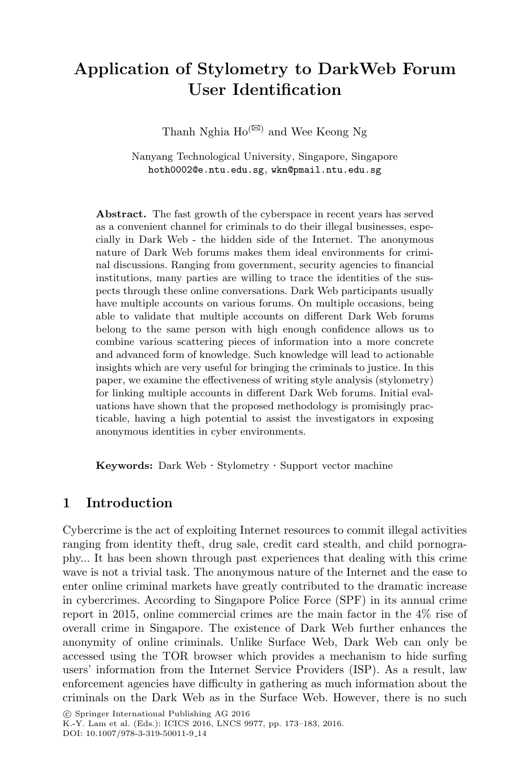# **Application of Stylometry to DarkWeb Forum User Identification**

Thanh Nghia  $Ho^{(\boxtimes)}$  and Wee Keong Ng

Nanyang Technological University, Singapore, Singapore hoth0002@e.ntu.edu.sg, wkn@pmail.ntu.edu.sg

**Abstract.** The fast growth of the cyberspace in recent years has served as a convenient channel for criminals to do their illegal businesses, especially in Dark Web - the hidden side of the Internet. The anonymous nature of Dark Web forums makes them ideal environments for criminal discussions. Ranging from government, security agencies to financial institutions, many parties are willing to trace the identities of the suspects through these online conversations. Dark Web participants usually have multiple accounts on various forums. On multiple occasions, being able to validate that multiple accounts on different Dark Web forums belong to the same person with high enough confidence allows us to combine various scattering pieces of information into a more concrete and advanced form of knowledge. Such knowledge will lead to actionable insights which are very useful for bringing the criminals to justice. In this paper, we examine the effectiveness of writing style analysis (stylometry) for linking multiple accounts in different Dark Web forums. Initial evaluations have shown that the proposed methodology is promisingly practicable, having a high potential to assist the investigators in exposing anonymous identities in cyber environments.

**Keywords:** Dark Web *·* Stylometry *·* Support vector machine

## **1 Introduction**

Cybercrime is the act of exploiting Internet resources to commit illegal activities ranging from identity theft, drug sale, credit card stealth, and child pornography... It has been shown through past experiences that dealing with this crime wave is not a trivial task. The anonymous nature of the Internet and the ease to enter online criminal markets have greatly contributed to the dramatic increase in cybercrimes. According to Singapore Police Force (SPF) in its annual crime report in 2015, online commercial crimes are the main factor in the 4% rise of overall crime in Singapore. The existence of Dark Web further enhances the anonymity of online criminals. Unlike Surface Web, Dark Web can only be accessed using the TOR browser which provides a mechanism to hide surfing users' information from the Internet Service Providers (ISP). As a result, law enforcement agencies have difficulty in gathering as much information about the criminals on the Dark Web as in the Surface Web. However, there is no such

-c Springer International Publishing AG 2016

K.-Y. Lam et al. (Eds.): ICICS 2016, LNCS 9977, pp. 173–183, 2016. DOI: 10.1007/978-3-319-50011-9 14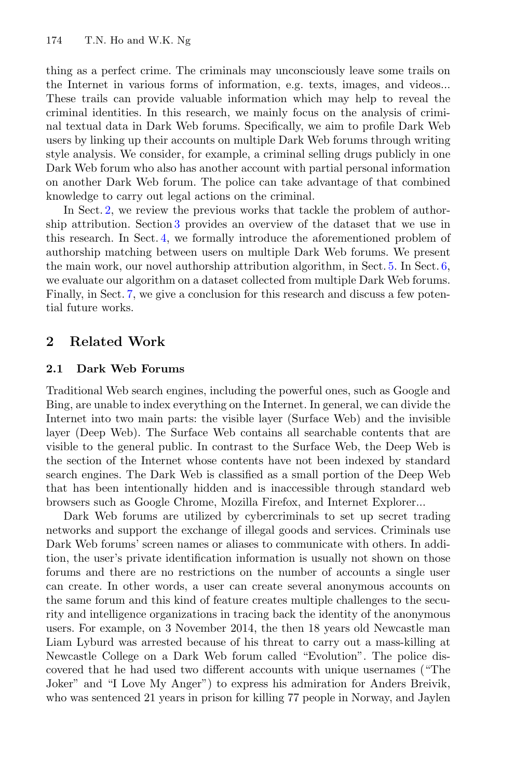thing as a perfect crime. The criminals may unconsciously leave some trails on the Internet in various forms of information, e.g. texts, images, and videos... These trails can provide valuable information which may help to reveal the criminal identities. In this research, we mainly focus on the analysis of criminal textual data in Dark Web forums. Specifically, we aim to profile Dark Web users by linking up their accounts on multiple Dark Web forums through writing style analysis. We consider, for example, a criminal selling drugs publicly in one Dark Web forum who also has another account with partial personal information on another Dark Web forum. The police can take advantage of that combined knowledge to carry out legal actions on the criminal.

In Sect. [2,](#page-1-0) we review the previous works that tackle the problem of authorship attribution. Section [3](#page-2-0) provides an overview of the dataset that we use in this research. In Sect. [4,](#page-3-0) we formally introduce the aforementioned problem of authorship matching between users on multiple Dark Web forums. We present the main work, our novel authorship attribution algorithm, in Sect. [5.](#page-3-1) In Sect. [6,](#page-6-0) we evaluate our algorithm on a dataset collected from multiple Dark Web forums. Finally, in Sect. [7,](#page-9-0) we give a conclusion for this research and discuss a few potential future works.

## <span id="page-1-0"></span>**2 Related Work**

#### **2.1 Dark Web Forums**

Traditional Web search engines, including the powerful ones, such as Google and Bing, are unable to index everything on the Internet. In general, we can divide the Internet into two main parts: the visible layer (Surface Web) and the invisible layer (Deep Web). The Surface Web contains all searchable contents that are visible to the general public. In contrast to the Surface Web, the Deep Web is the section of the Internet whose contents have not been indexed by standard search engines. The Dark Web is classified as a small portion of the Deep Web that has been intentionally hidden and is inaccessible through standard web browsers such as Google Chrome, Mozilla Firefox, and Internet Explorer...

Dark Web forums are utilized by cybercriminals to set up secret trading networks and support the exchange of illegal goods and services. Criminals use Dark Web forums' screen names or aliases to communicate with others. In addition, the user's private identification information is usually not shown on those forums and there are no restrictions on the number of accounts a single user can create. In other words, a user can create several anonymous accounts on the same forum and this kind of feature creates multiple challenges to the security and intelligence organizations in tracing back the identity of the anonymous users. For example, on 3 November 2014, the then 18 years old Newcastle man Liam Lyburd was arrested because of his threat to carry out a mass-killing at Newcastle College on a Dark Web forum called "Evolution". The police discovered that he had used two different accounts with unique usernames ("The Joker" and "I Love My Anger") to express his admiration for Anders Breivik, who was sentenced 21 years in prison for killing 77 people in Norway, and Jaylen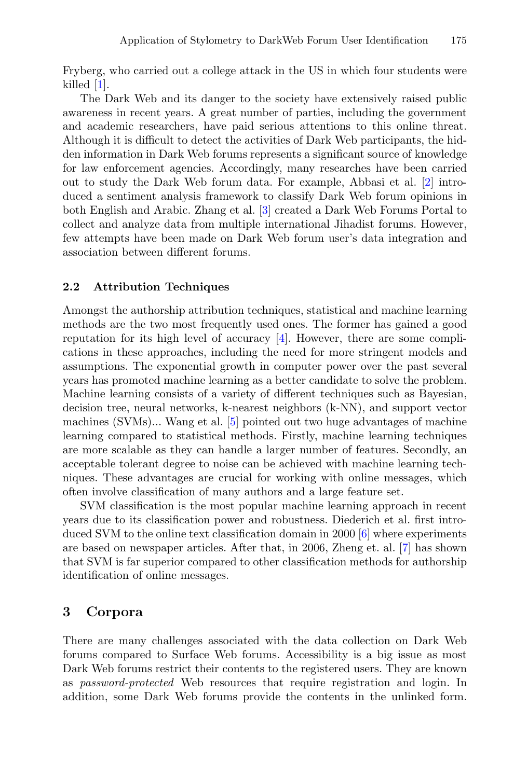Fryberg, who carried out a college attack in the US in which four students were killed [\[1](#page-10-0)].

The Dark Web and its danger to the society have extensively raised public awareness in recent years. A great number of parties, including the government and academic researchers, have paid serious attentions to this online threat. Although it is difficult to detect the activities of Dark Web participants, the hidden information in Dark Web forums represents a significant source of knowledge for law enforcement agencies. Accordingly, many researches have been carried out to study the Dark Web forum data. For example, Abbasi et al. [\[2](#page-10-1)] introduced a sentiment analysis framework to classify Dark Web forum opinions in both English and Arabic. Zhang et al. [\[3](#page-10-2)] created a Dark Web Forums Portal to collect and analyze data from multiple international Jihadist forums. However, few attempts have been made on Dark Web forum user's data integration and association between different forums.

#### **2.2 Attribution Techniques**

Amongst the authorship attribution techniques, statistical and machine learning methods are the two most frequently used ones. The former has gained a good reputation for its high level of accuracy [\[4\]](#page-10-3). However, there are some complications in these approaches, including the need for more stringent models and assumptions. The exponential growth in computer power over the past several years has promoted machine learning as a better candidate to solve the problem. Machine learning consists of a variety of different techniques such as Bayesian, decision tree, neural networks, k-nearest neighbors (k-NN), and support vector machines (SVMs)... Wang et al. [\[5\]](#page-10-4) pointed out two huge advantages of machine learning compared to statistical methods. Firstly, machine learning techniques are more scalable as they can handle a larger number of features. Secondly, an acceptable tolerant degree to noise can be achieved with machine learning techniques. These advantages are crucial for working with online messages, which often involve classification of many authors and a large feature set.

SVM classification is the most popular machine learning approach in recent years due to its classification power and robustness. Diederich et al. first introduced SVM to the online text classification domain in 2000 [\[6](#page-10-5)] where experiments are based on newspaper articles. After that, in 2006, Zheng et. al. [\[7](#page-10-6)] has shown that SVM is far superior compared to other classification methods for authorship identification of online messages.

## <span id="page-2-0"></span>**3 Corpora**

There are many challenges associated with the data collection on Dark Web forums compared to Surface Web forums. Accessibility is a big issue as most Dark Web forums restrict their contents to the registered users. They are known as *password-protected* Web resources that require registration and login. In addition, some Dark Web forums provide the contents in the unlinked form.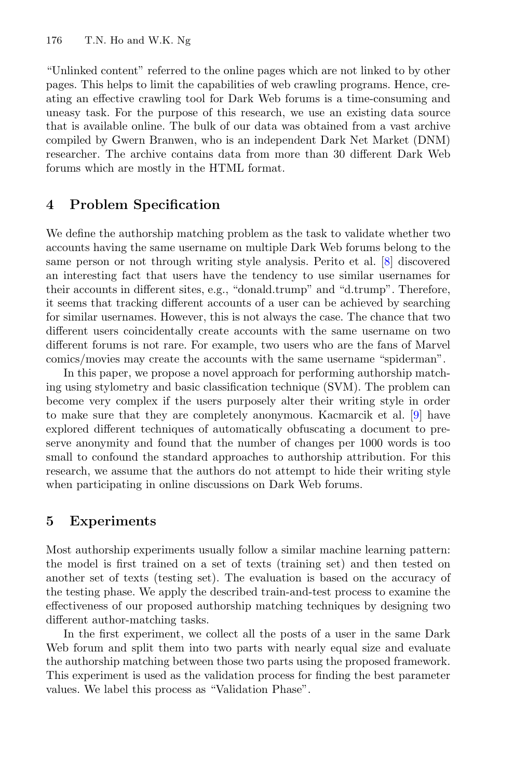"Unlinked content" referred to the online pages which are not linked to by other pages. This helps to limit the capabilities of web crawling programs. Hence, creating an effective crawling tool for Dark Web forums is a time-consuming and uneasy task. For the purpose of this research, we use an existing data source that is available online. The bulk of our data was obtained from a vast archive compiled by Gwern Branwen, who is an independent Dark Net Market (DNM) researcher. The archive contains data from more than 30 different Dark Web forums which are mostly in the HTML format.

# <span id="page-3-0"></span>**4 Problem Specification**

We define the authorship matching problem as the task to validate whether two accounts having the same username on multiple Dark Web forums belong to the same person or not through writing style analysis. Perito et al. [\[8\]](#page-10-7) discovered an interesting fact that users have the tendency to use similar usernames for their accounts in different sites, e.g., "donald.trump" and "d.trump". Therefore, it seems that tracking different accounts of a user can be achieved by searching for similar usernames. However, this is not always the case. The chance that two different users coincidentally create accounts with the same username on two different forums is not rare. For example, two users who are the fans of Marvel comics/movies may create the accounts with the same username "spiderman".

In this paper, we propose a novel approach for performing authorship matching using stylometry and basic classification technique (SVM). The problem can become very complex if the users purposely alter their writing style in order to make sure that they are completely anonymous. Kacmarcik et al. [\[9](#page-10-8)] have explored different techniques of automatically obfuscating a document to preserve anonymity and found that the number of changes per 1000 words is too small to confound the standard approaches to authorship attribution. For this research, we assume that the authors do not attempt to hide their writing style when participating in online discussions on Dark Web forums.

## <span id="page-3-1"></span>**5 Experiments**

Most authorship experiments usually follow a similar machine learning pattern: the model is first trained on a set of texts (training set) and then tested on another set of texts (testing set). The evaluation is based on the accuracy of the testing phase. We apply the described train-and-test process to examine the effectiveness of our proposed authorship matching techniques by designing two different author-matching tasks.

In the first experiment, we collect all the posts of a user in the same Dark Web forum and split them into two parts with nearly equal size and evaluate the authorship matching between those two parts using the proposed framework. This experiment is used as the validation process for finding the best parameter values. We label this process as "Validation Phase".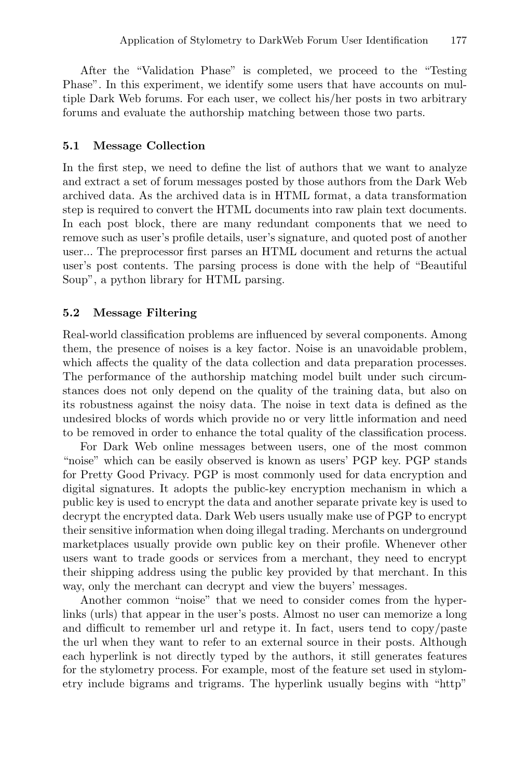After the "Validation Phase" is completed, we proceed to the "Testing Phase". In this experiment, we identify some users that have accounts on multiple Dark Web forums. For each user, we collect his/her posts in two arbitrary forums and evaluate the authorship matching between those two parts.

## **5.1 Message Collection**

In the first step, we need to define the list of authors that we want to analyze and extract a set of forum messages posted by those authors from the Dark Web archived data. As the archived data is in HTML format, a data transformation step is required to convert the HTML documents into raw plain text documents. In each post block, there are many redundant components that we need to remove such as user's profile details, user's signature, and quoted post of another user... The preprocessor first parses an HTML document and returns the actual user's post contents. The parsing process is done with the help of "Beautiful Soup", a python library for HTML parsing.

## **5.2 Message Filtering**

Real-world classification problems are influenced by several components. Among them, the presence of noises is a key factor. Noise is an unavoidable problem, which affects the quality of the data collection and data preparation processes. The performance of the authorship matching model built under such circumstances does not only depend on the quality of the training data, but also on its robustness against the noisy data. The noise in text data is defined as the undesired blocks of words which provide no or very little information and need to be removed in order to enhance the total quality of the classification process.

For Dark Web online messages between users, one of the most common "noise" which can be easily observed is known as users' PGP key. PGP stands for Pretty Good Privacy. PGP is most commonly used for data encryption and digital signatures. It adopts the public-key encryption mechanism in which a public key is used to encrypt the data and another separate private key is used to decrypt the encrypted data. Dark Web users usually make use of PGP to encrypt their sensitive information when doing illegal trading. Merchants on underground marketplaces usually provide own public key on their profile. Whenever other users want to trade goods or services from a merchant, they need to encrypt their shipping address using the public key provided by that merchant. In this way, only the merchant can decrypt and view the buyers' messages.

Another common "noise" that we need to consider comes from the hyperlinks (urls) that appear in the user's posts. Almost no user can memorize a long and difficult to remember url and retype it. In fact, users tend to copy/paste the url when they want to refer to an external source in their posts. Although each hyperlink is not directly typed by the authors, it still generates features for the stylometry process. For example, most of the feature set used in stylometry include bigrams and trigrams. The hyperlink usually begins with "http"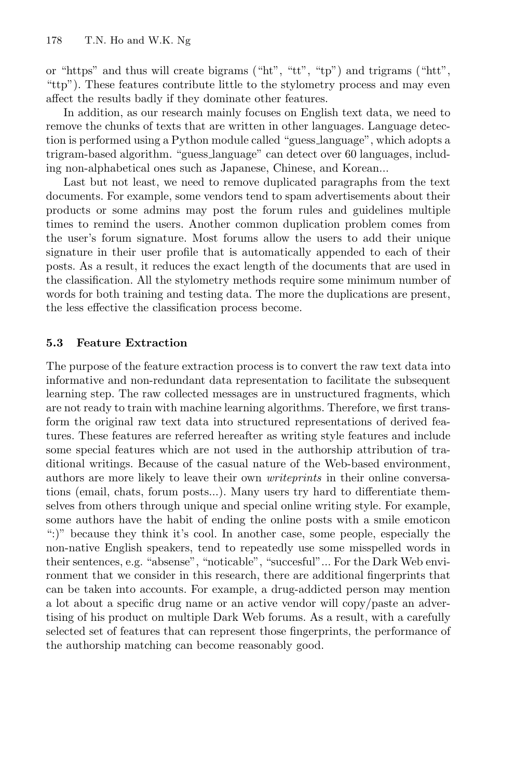or "https" and thus will create bigrams ("ht", "tt", "tp") and trigrams ("htt", "ttp"). These features contribute little to the stylometry process and may even affect the results badly if they dominate other features.

In addition, as our research mainly focuses on English text data, we need to remove the chunks of texts that are written in other languages. Language detection is performed using a Python module called "guess language", which adopts a trigram-based algorithm. "guess language" can detect over 60 languages, including non-alphabetical ones such as Japanese, Chinese, and Korean...

Last but not least, we need to remove duplicated paragraphs from the text documents. For example, some vendors tend to spam advertisements about their products or some admins may post the forum rules and guidelines multiple times to remind the users. Another common duplication problem comes from the user's forum signature. Most forums allow the users to add their unique signature in their user profile that is automatically appended to each of their posts. As a result, it reduces the exact length of the documents that are used in the classification. All the stylometry methods require some minimum number of words for both training and testing data. The more the duplications are present, the less effective the classification process become.

## **5.3 Feature Extraction**

The purpose of the feature extraction process is to convert the raw text data into informative and non-redundant data representation to facilitate the subsequent learning step. The raw collected messages are in unstructured fragments, which are not ready to train with machine learning algorithms. Therefore, we first transform the original raw text data into structured representations of derived features. These features are referred hereafter as writing style features and include some special features which are not used in the authorship attribution of traditional writings. Because of the casual nature of the Web-based environment, authors are more likely to leave their own *writeprints* in their online conversations (email, chats, forum posts...). Many users try hard to differentiate themselves from others through unique and special online writing style. For example, some authors have the habit of ending the online posts with a smile emoticon ":)" because they think it's cool. In another case, some people, especially the non-native English speakers, tend to repeatedly use some misspelled words in their sentences, e.g. "absense", "noticable", "succesful"... For the Dark Web environment that we consider in this research, there are additional fingerprints that can be taken into accounts. For example, a drug-addicted person may mention a lot about a specific drug name or an active vendor will copy/paste an advertising of his product on multiple Dark Web forums. As a result, with a carefully selected set of features that can represent those fingerprints, the performance of the authorship matching can become reasonably good.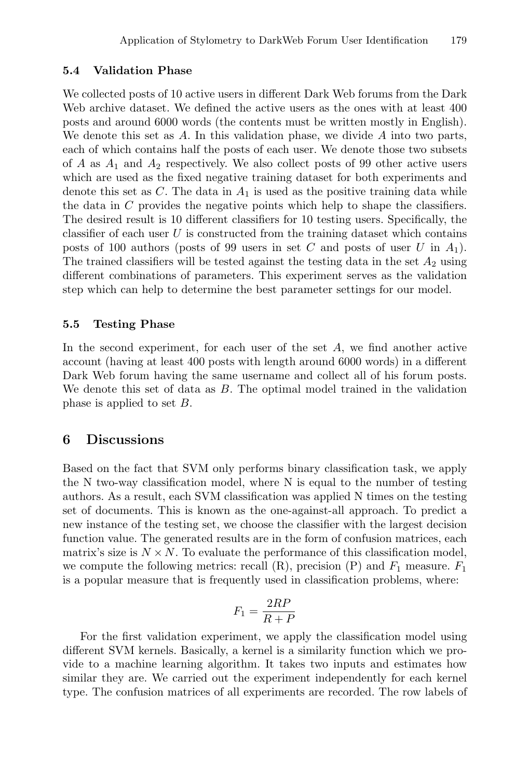#### **5.4 Validation Phase**

We collected posts of 10 active users in different Dark Web forums from the Dark Web archive dataset. We defined the active users as the ones with at least 400 posts and around 6000 words (the contents must be written mostly in English). We denote this set as *A*. In this validation phase, we divide *A* into two parts, each of which contains half the posts of each user. We denote those two subsets of *A* as *A*<sup>1</sup> and *A*<sup>2</sup> respectively. We also collect posts of 99 other active users which are used as the fixed negative training dataset for both experiments and denote this set as  $C$ . The data in  $A_1$  is used as the positive training data while the data in *C* provides the negative points which help to shape the classifiers. The desired result is 10 different classifiers for 10 testing users. Specifically, the classifier of each user *U* is constructed from the training dataset which contains posts of 100 authors (posts of 99 users in set *C* and posts of user *U* in *A*1). The trained classifiers will be tested against the testing data in the set  $A_2$  using different combinations of parameters. This experiment serves as the validation step which can help to determine the best parameter settings for our model.

#### **5.5 Testing Phase**

In the second experiment, for each user of the set *A*, we find another active account (having at least 400 posts with length around 6000 words) in a different Dark Web forum having the same username and collect all of his forum posts. We denote this set of data as *B*. The optimal model trained in the validation phase is applied to set *B*.

#### <span id="page-6-0"></span>**6 Discussions**

Based on the fact that SVM only performs binary classification task, we apply the N two-way classification model, where N is equal to the number of testing authors. As a result, each SVM classification was applied N times on the testing set of documents. This is known as the one-against-all approach. To predict a new instance of the testing set, we choose the classifier with the largest decision function value. The generated results are in the form of confusion matrices, each matrix's size is  $N \times N$ . To evaluate the performance of this classification model, we compute the following metrics: recall  $(R)$ , precision  $(P)$  and  $F_1$  measure.  $F_1$ is a popular measure that is frequently used in classification problems, where:

$$
F_1 = \frac{2RP}{R+P}
$$

For the first validation experiment, we apply the classification model using different SVM kernels. Basically, a kernel is a similarity function which we provide to a machine learning algorithm. It takes two inputs and estimates how similar they are. We carried out the experiment independently for each kernel type. The confusion matrices of all experiments are recorded. The row labels of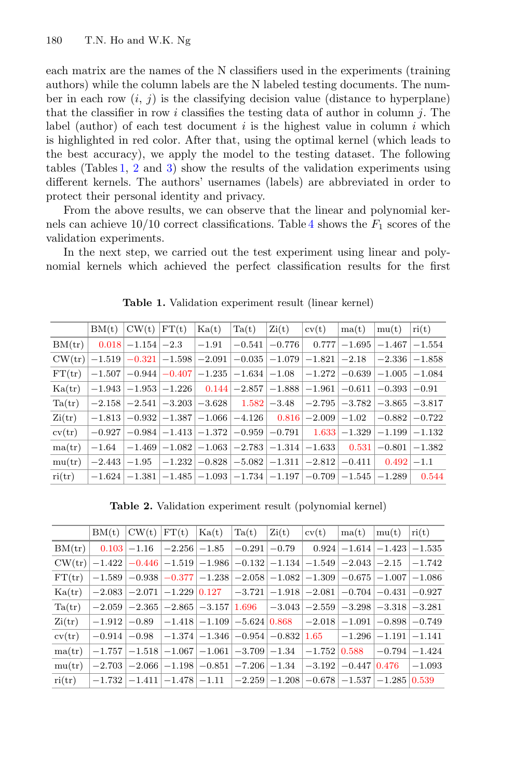each matrix are the names of the N classifiers used in the experiments (training authors) while the column labels are the N labeled testing documents. The number in each row  $(i, j)$  is the classifying decision value (distance to hyperplane) that the classifier in row *i* classifies the testing data of author in column *j*. The label (author) of each test document *i* is the highest value in column *i* which is highlighted in red color. After that, using the optimal kernel (which leads to the best accuracy), we apply the model to the testing dataset. The following tables (Tables [1,](#page-7-0) [2](#page-7-1) and [3\)](#page-8-0) show the results of the validation experiments using different kernels. The authors' usernames (labels) are abbreviated in order to protect their personal identity and privacy.

From the above results, we can observe that the linear and polynomial kernels can achieve  $10/10$  correct classifications. Table [4](#page-8-1) shows the  $F_1$  scores of the validation experiments.

In the next step, we carried out the test experiment using linear and polynomial kernels which achieved the perfect classification results for the first

|                   | BM(t)             | CW(t)           | FT(t)               | Ka(t)                               | Ta(t)              | $\operatorname{Zi}(t)$ | cv(t)         | ma(t)               | mu(t)           | ri(t)    |
|-------------------|-------------------|-----------------|---------------------|-------------------------------------|--------------------|------------------------|---------------|---------------------|-----------------|----------|
| BM(tr)            | 0.018             | $-1.154$ $-2.3$ |                     | $-1.91$                             | $-0.541$           | $-0.776$               | 0.777         | $-1.695$            | $-1.467$        | $-1.554$ |
| CW(tr)            | $-1.519$          |                 |                     | $-0.321$   $-1.598$   $-2.091$      | $-0.035$           | $-1.079$               | $-1.821$      | $-2.18$             | $-2.336$        | $-1.858$ |
| FT(tr)            | $-1.507$          |                 | $-0.944$ $-0.407$   | $-1.235$                            | $-1.634$   $-1.08$ |                        | $-1.272$      | $-0.639$            | $-1.005$        | $-1.084$ |
| Ka(tr)            | $-1.943$          |                 | $-1.953$ $-1.226$   | 0.144                               | $-2.857$           | $-1.888$               | $-1.961$      | $-0.611$            | $-0.393 - 0.91$ |          |
| Ta(tr)            | $-2.158$          |                 |                     | $-2.541$ $-3.203$ $-3.628$          | 1.582 <sup>1</sup> | $-3.48$                | $-2.795$      | $-3.782$            | $-3.865$        | $-3.817$ |
| $\mathrm{Zi(tr)}$ | $-1.813$          |                 | $-0.932$   $-1.387$ | $-1.066$                            | $-4.126$           | 0.816                  | $-2.009$      | $-1.02$             | $-0.882$        | $-0.722$ |
| cv(tr)            | $-0.927$          |                 |                     | $-0.984$   $-1.413$   $-1.372$      |                    | $-0.959$ $ -0.791$     | $\vert$ 1.633 | $-1.329$            | $-1.199$        | $-1.132$ |
| ma(tr)            | $-1.64$           |                 | $-1.469$ $-1.082$   | $-1.063$                            |                    | $-2.783$ $ -1.314$     | $-1.633$      | 0.531               | $-0.801$        | $-1.382$ |
| mu(tr)            | $-2.443$          | $-1.95$         | $-1.232$            | $-0.828$                            | $-5.082$ $-1.311$  |                        | $-2.812$      | $-0.411$            | 0.492           | $-1.1$   |
| ri(tr)            | $-1.624$ $-1.381$ |                 |                     | $-1.485$ $-1.093$ $-1.734$ $-1.197$ |                    |                        |               | $-0.709$   $-1.545$ | $-1.289$        | 0.544    |

<span id="page-7-0"></span>**Table 1.** Validation experiment result (linear kernel)

**Table 2.** Validation experiment result (polynomial kernel)

<span id="page-7-1"></span>

|                   | BM(t)              | CW(t)    | FT(t)           | Ka(t)                                     | Ta(t)           | $\mathrm{Zi}(t)$   | cv(t)                                       | ma(t)                                  | mu(t)                      | ri(t)    |
|-------------------|--------------------|----------|-----------------|-------------------------------------------|-----------------|--------------------|---------------------------------------------|----------------------------------------|----------------------------|----------|
| BM(tr)            | $0.103 - 1.16$     |          | $-2.256 - 1.85$ |                                           | $-0.291$        | $-0.79$            |                                             | $0.924$ $-1.614$ $-1.423$              |                            | $-1.535$ |
| CW(tr)            | $-1.422$           |          |                 | $ -0.446 -1.519 -1.986 -0.132 -1.134 $    |                 |                    | $-1.549$                                    | $-2.043$ $-2.15$                       |                            | $-1.742$ |
| FT(tr)            | $-1.589$           |          |                 | $-0.938$ $-0.377$ $-1.238$ $-2.058$       |                 | $-1.082$           | $-1.309$                                    |                                        | $-0.675$ $-1.007$          | $-1.086$ |
| Ka(tr)            | $-2.083$           | $-2.071$ |                 | $-1.229 \mid 0.127 \mid -3.721$           |                 |                    | $-1.918$ $-2.081$                           |                                        | $-0.704$ $-0.431$          | $-0.927$ |
| Ta(tr)            | $-2.059$           | $-2.365$ |                 |                                           |                 |                    | $-2.865$ $-3.157$ $1.696$ $-3.043$ $-2.559$ |                                        | $-3.298$ $-3.318$ $-3.281$ |          |
| $\mathrm{Zi(tr)}$ | $-1.912$           | $-0.89$  |                 | $-1.418$ $-1.109$ $-5.624$ $0.868$        |                 |                    | $ -2.018 $                                  | $-1.091$                               | $-0.898$                   | $-0.749$ |
| cv(tr)            | $-0.914$   $-0.98$ |          |                 | $-1.374$ $-1.346$ $-0.954$                |                 | $-0.832 \mid 1.65$ |                                             | $ -1.296 $                             | $-1.191$                   | $-1.141$ |
| ma(tr)            | $-1.757$           |          |                 | $-1.518$ $-1.067$ $-1.061$                | $-3.709 - 1.34$ |                    | $-1.752$                                    | 0.588                                  | $-0.794$                   | $-1.424$ |
| mu(tr)            | $-2.703$           | $-2.066$ |                 | $-1.198$ $-0.851$                         | $-7.206$        | $-1.34$            | $-3.192$                                    | $-0.447$ 0.476                         |                            | $-1.093$ |
| ri(tr)            | $-1.732$           |          |                 | $ -1.411  -1.478  -1.11  -2.259  -1.208 $ |                 |                    |                                             | $-0.678$   $-1.537$   $-1.285$   0.539 |                            |          |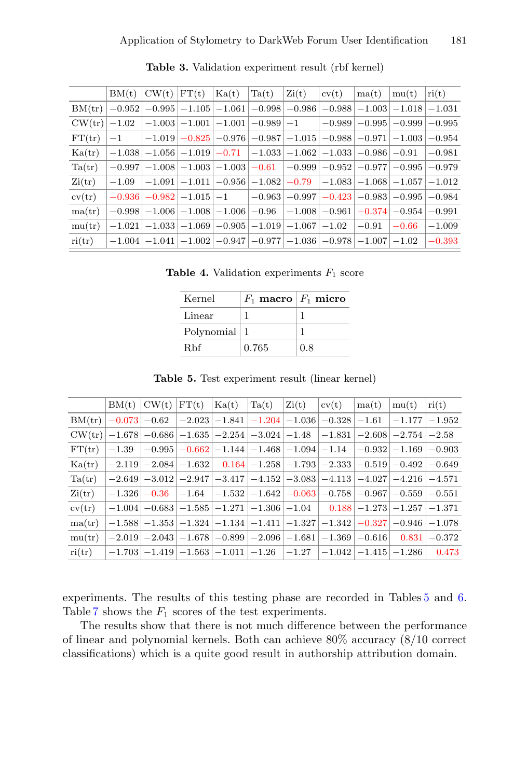|                   | BM(t)    | CW(t)    | FT(t)                      | Ka(t)             | Ta(t)                          | $\mathrm{Zi}(t)$ | cv(t)    | ma(t)                              | mu(t)    | ri(t)    |
|-------------------|----------|----------|----------------------------|-------------------|--------------------------------|------------------|----------|------------------------------------|----------|----------|
| BM(tr)            | $-0.952$ | $-0.995$ | $-1.105$                   | $-1.061$          | $-0.998$                       | $-0.986$         | $-0.988$ | $-1.003$                           | $-1.018$ | $-1.031$ |
| CW(tr)            | $-1.02$  | $-1.003$ | $-1.001$                   | $-1.001$          | $-0.989 - 1$                   |                  | $-0.989$ | $-0.995$                           | $-0.999$ | $-0.995$ |
| FT(tr)            | $-1$     | $-1.019$ | $-0.825$                   | $-0.976$          | $-0.987$                       | $-1.015$         | $-0.988$ | $-0.971$                           | $-1.003$ | $-0.954$ |
| Ka(tr)            | $-1.038$ | $-1.056$ | $-1.019$ $-0.71$           |                   | $-1.033$                       | $-1.062$         | $-1.033$ | $-0.986 - 0.91$                    |          | $-0.981$ |
| Ta(tr)            | $-0.997$ | $-1.008$ |                            | $-1.003$ $-1.003$ | $-0.61$                        | $-0.999$         | $-0.952$ | $-0.977$                           | $-0.995$ | $-0.979$ |
| $\mathrm{Zi(tr)}$ | $-1.09$  | $-1.091$ | $-1.011$                   | $-0.956$          | $-1.082$                       | $-0.79$          |          | $-1.083 - 1.068$                   | $-1.057$ | $-1.012$ |
| cv(tr)            | $-0.936$ |          | $-0.982$   $-1.015$   $-1$ |                   | $\mid$ $-0.963\mid$            | $-0.997$         | $-0.423$ | $-0.983$                           | $-0.995$ | $-0.984$ |
| ma(tr)            | $-0.998$ | $-1.006$ |                            | $-1.008$ $-1.006$ | $-0.96$                        | $-1.008$         | $-0.961$ | $-0.374$                           | $-0.954$ | $-0.991$ |
| mu(tr)            | $-1.021$ | $-1.033$ | $-1.069$                   | $-0.905$          | $-1.019$                       | $-1.067$ $-1.02$ |          | $-0.91$                            | $-0.66$  | $-1.009$ |
| ri(tr)            | $-1.004$ | $-1.041$ |                            |                   | $-1.002$   $-0.947$   $-0.977$ |                  |          | $-1.036$ $-0.978$ $-1.007$ $-1.02$ |          | $-0.393$ |

<span id="page-8-0"></span>**Table 3.** Validation experiment result (rbf kernel)

<span id="page-8-1"></span>**Table 4.** Validation experiments  $F_1$  score

| Kernel          | $F_1$ macro $F_1$ micro |     |
|-----------------|-------------------------|-----|
| Linear          |                         |     |
| Polynomial   1  |                         |     |
| R <sub>bf</sub> | 0.765                   | 0.8 |

<span id="page-8-2"></span>**Table 5.** Test experiment result (linear kernel)

|                   | BM(t)    | CW(t)   | FT(t)             | Ka(t)                                       | Ta(t)            | $\operatorname{Zi}(t)$   | cv(t)                                                          | ma(t)             | mu(t)                   | ri(t)    |
|-------------------|----------|---------|-------------------|---------------------------------------------|------------------|--------------------------|----------------------------------------------------------------|-------------------|-------------------------|----------|
| BM(tr)            | $-0.073$ | $-0.62$ |                   | $-2.023$ $-1.841$                           |                  | $-1.204$ $-1.036$        | $-0.328 - 1.61$                                                |                   | $-1.177$                | $-1.952$ |
| CW(tr)            | $-1.678$ |         |                   | $-0.686$   $-1.635$   $-2.254$              | $ -3.024  -1.48$ |                          | $-1.831$                                                       | $-2.608$          | $-2.754$                | $-2.58$  |
| FT(tr)            | $-1.39$  |         |                   | $-0.995$ $-0.662$ $-1.144$                  |                  | $ -1.468  -1.094  -1.14$ |                                                                | $-0.932$          | $-1.169$                | $-0.903$ |
| Ka(tr)            | $-2.119$ |         | $-2.084$ $-1.632$ |                                             |                  |                          | $0.164$   $-1.258$   $-1.793$   $-2.333$                       |                   | $-0.519$ $-0.492$       | $-0.649$ |
| Ta(tr)            | $-2.649$ |         |                   |                                             |                  |                          | $-3.012$ $-2.947$ $-3.417$ $-4.152$ $-3.083$ $-4.113$ $-4.027$ |                   | $-4.216$                | $-4.571$ |
| $\mathrm{Zi(tr)}$ | $-1.326$ | $-0.36$ | $-1.64$           | $-1.532$                                    |                  |                          | $-1.642$ $-0.063$ $-0.758$                                     | $-0.967$          | $-0.559$                | $-0.551$ |
| cv(tr)            | $-1.004$ |         |                   | $-0.683$   $-1.585$   $-1.271$              |                  | $-1.306$ $-1.04$         |                                                                |                   | $0.188 - 1.273 - 1.257$ | $-1.371$ |
| ma(tr)            | $-1.588$ |         |                   | $-1.353$ $-1.324$ $-1.134$                  |                  | $-1.411$ $-1.327$        | $-1.342$                                                       | $-0.327$          | $-0.946$                | $-1.078$ |
| mu(tr)            |          |         |                   | $-2.019$ $-2.043$ $-1.678$ $-0.899$         | $ -2.096 $       | $-1.681$                 | $-1.369$                                                       | $-0.616$          | 0.831                   | $-0.372$ |
| ri(tr)            |          |         |                   | $-1.703$ $-1.419$ $-1.563$ $-1.011$ $-1.26$ |                  | $-1.27$                  |                                                                | $-1.042$ $-1.415$ | $-1.286$                | 0.473    |

experiments. The results of this testing phase are recorded in Tables [5](#page-8-2) and [6.](#page-9-1) Table  $7$  shows the  $F_1$  scores of the test experiments.

The results show that there is not much difference between the performance of linear and polynomial kernels. Both can achieve 80% accuracy (8/10 correct classifications) which is a quite good result in authorship attribution domain.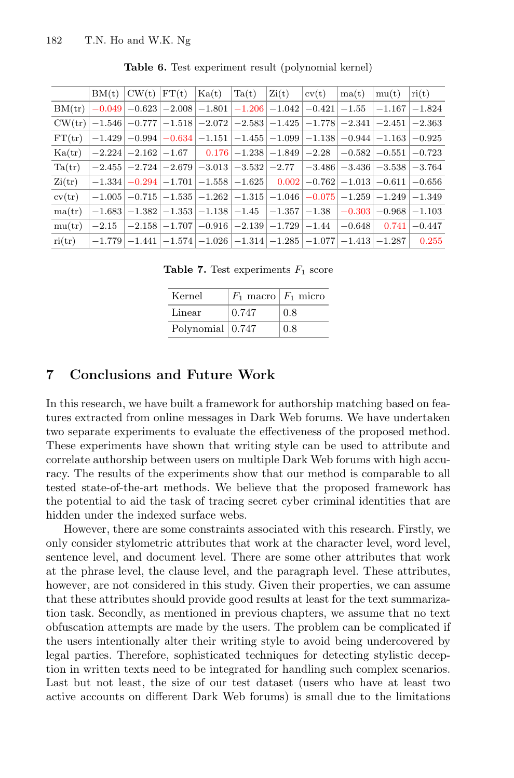|                   | BM(t)    | CW(t)                        | FT(t) | Ka(t)                                                          | Ta(t)                     | $\operatorname{Zi}(t)$     | cv(t)              | ma(t)             | mu(t)                                                                            | ri(t)    |
|-------------------|----------|------------------------------|-------|----------------------------------------------------------------|---------------------------|----------------------------|--------------------|-------------------|----------------------------------------------------------------------------------|----------|
| BM(tr)            | $-0.049$ |                              |       | $-0.623$ $-2.008$ $-1.801$                                     |                           | $-1.206$ $-1.042$          | $-0.421$   $-1.55$ |                   | $-1.167$                                                                         | $-1.824$ |
| CW(tr)            |          |                              |       | $-1.546$ $ -0.777 $ $-1.518$ $ -2.072 $ $-2.583 $ $-1.425$     |                           |                            |                    | $-1.778$ $-2.341$ | $-2.451$                                                                         | $-2.363$ |
| FT(tr)            |          |                              |       | $-1.429$ $-0.994$ $-0.634$ $-1.151$                            |                           | $-1.455$ $-1.099$          |                    | $-1.138$ $-0.944$ | $-1.163$                                                                         | $-0.925$ |
| Ka(tr)            |          |                              |       | $-2.224$ $-2.162$ $-1.67$ $0.176$ $-1.238$ $-1.849$ $-2.28$    |                           |                            |                    |                   | $-0.582$ $-0.551$                                                                | $-0.723$ |
| Ta(tr)            |          | $-2.455$ $-2.724$ $-2.679$   |       |                                                                | $-3.013$ $-3.532$ $-2.77$ |                            |                    |                   | $ -3.486 -3.436 -3.538 $                                                         | $-3.764$ |
| $\mathrm{Zi(tr)}$ |          | $-1.334$ $ -0.294$ $ -1.701$ |       |                                                                |                           | $-1.558$ $ -1.625$   0.002 | $-0.762$           |                   | $-1.013$ $-0.611$                                                                | $-0.656$ |
| cv(tr)            | $-1.005$ |                              |       |                                                                |                           |                            |                    |                   | $-0.715$ $-1.535$ $-1.262$ $-1.315$ $-1.046$ $-0.075$ $-1.259$ $-1.249$ $-1.349$ |          |
| ma(tr)            | $-1.683$ |                              |       | $-1.382$ $-1.353$ $-1.138$ $-1.45$                             |                           | $-1.357$ $-1.38$           |                    |                   | $-0.303$ $-0.968$                                                                | $-1.103$ |
| mu(tr)            | $-2.15$  |                              |       | $-2.158$ $-1.707$ $-0.916$ $-2.139$ $-1.729$ $-1.44$           |                           |                            |                    | $-0.648$          | 0.741                                                                            | $-0.447$ |
| ri(tr)            |          |                              |       | $-1.779$ $-1.441$ $-1.574$ $-1.026$ $-1.314$ $-1.285$ $-1.077$ |                           |                            |                    |                   | $-1.413$ $-1.287$                                                                | 0.255    |

<span id="page-9-1"></span>**Table 6.** Test experiment result (polynomial kernel)

<span id="page-9-2"></span>**Table 7.** Test experiments  $F_1$  score

| Kernel               | $F_1$ macro $F_1$ micro |     |
|----------------------|-------------------------|-----|
| Linear               | 0.747                   | 0.8 |
| Polynomial $(0.747)$ |                         | 0.8 |

# <span id="page-9-0"></span>**7 Conclusions and Future Work**

In this research, we have built a framework for authorship matching based on features extracted from online messages in Dark Web forums. We have undertaken two separate experiments to evaluate the effectiveness of the proposed method. These experiments have shown that writing style can be used to attribute and correlate authorship between users on multiple Dark Web forums with high accuracy. The results of the experiments show that our method is comparable to all tested state-of-the-art methods. We believe that the proposed framework has the potential to aid the task of tracing secret cyber criminal identities that are hidden under the indexed surface webs.

However, there are some constraints associated with this research. Firstly, we only consider stylometric attributes that work at the character level, word level, sentence level, and document level. There are some other attributes that work at the phrase level, the clause level, and the paragraph level. These attributes, however, are not considered in this study. Given their properties, we can assume that these attributes should provide good results at least for the text summarization task. Secondly, as mentioned in previous chapters, we assume that no text obfuscation attempts are made by the users. The problem can be complicated if the users intentionally alter their writing style to avoid being undercovered by legal parties. Therefore, sophisticated techniques for detecting stylistic deception in written texts need to be integrated for handling such complex scenarios. Last but not least, the size of our test dataset (users who have at least two active accounts on different Dark Web forums) is small due to the limitations